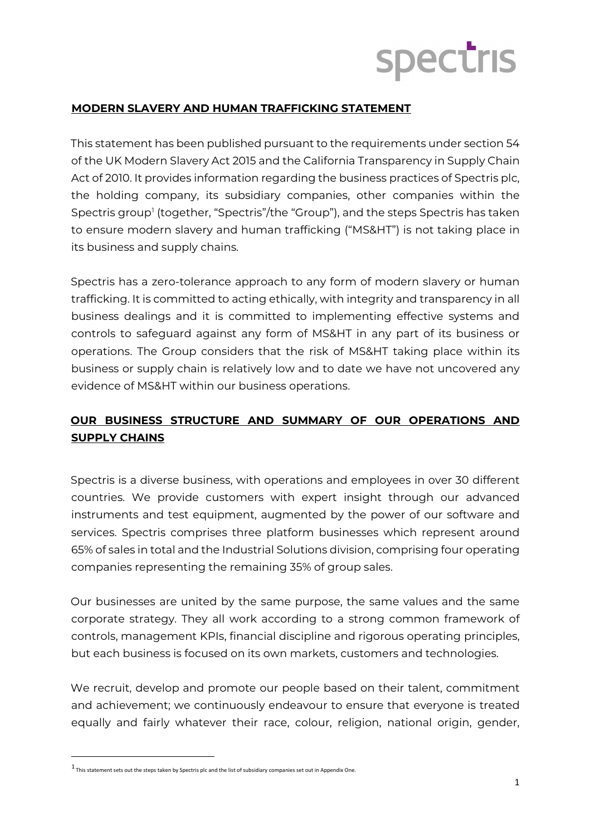## **Spectris**

## **MODERN SLAVERY AND HUMAN TRAFFICKING STATEMENT**

This statement has been published pursuant to the requirements under section 54 of the UK Modern Slavery Act 2015 and the California Transparency in Supply Chain Act of 2010. It provides information regarding the business practices of Spectris plc, the holding company, its subsidiary companies, other companies within the Spectris group<sup>[1](#page-0-0)</sup> (together, "Spectris"/the "Group"), and the steps Spectris has taken to ensure modern slavery and human trafficking ("MS&HT") is not taking place in its business and supply chains.

Spectris has a zero-tolerance approach to any form of modern slavery or human trafficking. It is committed to acting ethically, with integrity and transparency in all business dealings and it is committed to implementing effective systems and controls to safeguard against any form of MS&HT in any part of its business or operations. The Group considers that the risk of MS&HT taking place within its business or supply chain is relatively low and to date we have not uncovered any evidence of MS&HT within our business operations.

## **OUR BUSINESS STRUCTURE AND SUMMARY OF OUR OPERATIONS AND SUPPLY CHAINS**

Spectris is a diverse business, with operations and employees in over 30 different countries. We provide customers with expert insight through our advanced instruments and test equipment, augmented by the power of our software and services. Spectris comprises three platform businesses which represent around 65% of sales in total and the Industrial Solutions division, comprising four operating companies representing the remaining 35% of group sales.

Our businesses are united by the same purpose, the same values and the same corporate strategy. They all work according to a strong common framework of controls, management KPIs, financial discipline and rigorous operating principles, but each business is focused on its own markets, customers and technologies.

We recruit, develop and promote our people based on their talent, commitment and achievement; we continuously endeavour to ensure that everyone is treated equally and fairly whatever their race, colour, religion, national origin, gender,

<span id="page-0-0"></span> $1$  This statement sets out the steps taken by Spectris plc and the list of subsidiary companies set out in Appendix One.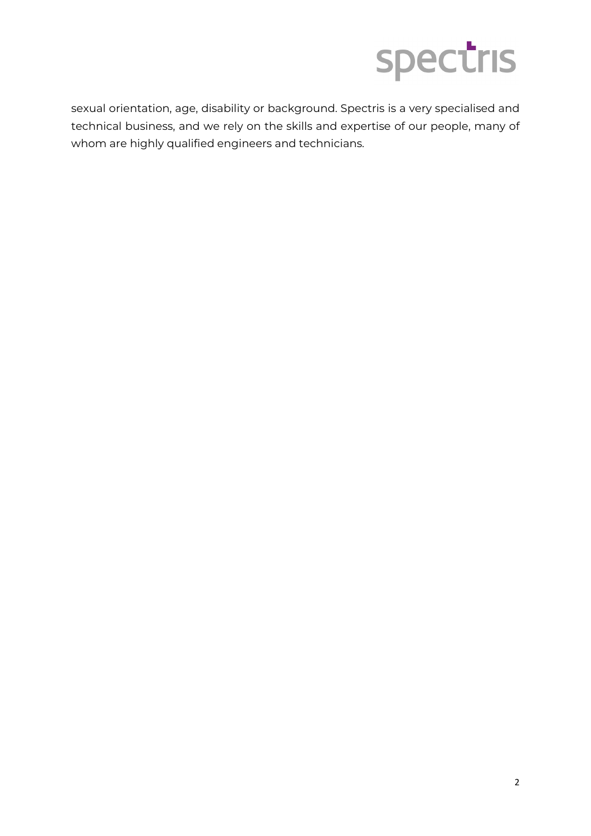

sexual orientation, age, disability or background. Spectris is a very specialised and technical business, and we rely on the skills and expertise of our people, many of whom are highly qualified engineers and technicians.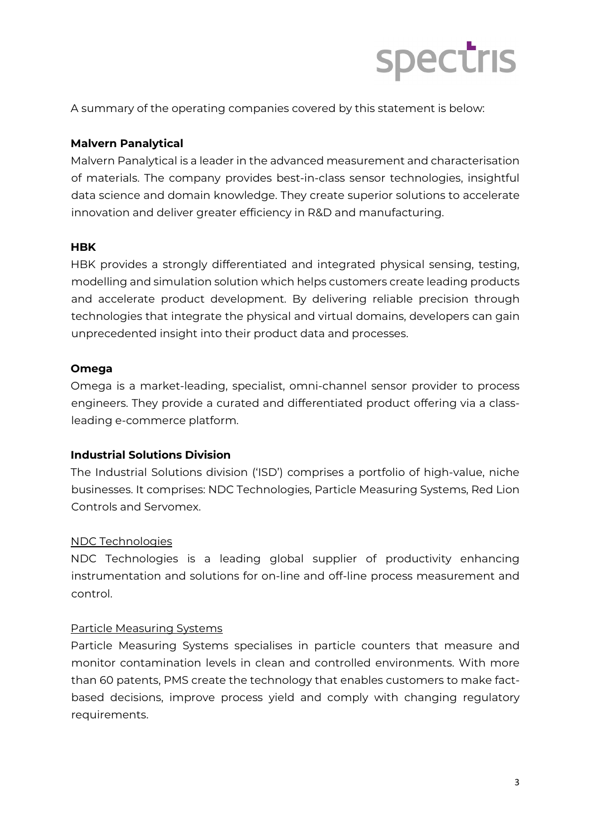

A summary of the operating companies covered by this statement is below:

### **Malvern Panalytical**

Malvern Panalytical is a leader in the advanced measurement and characterisation of materials. The company provides best-in-class sensor technologies, insightful data science and domain knowledge. They create superior solutions to accelerate innovation and deliver greater efficiency in R&D and manufacturing.

### **HBK**

HBK provides a strongly differentiated and integrated physical sensing, testing, modelling and simulation solution which helps customers create leading products and accelerate product development. By delivering reliable precision through technologies that integrate the physical and virtual domains, developers can gain unprecedented insight into their product data and processes.

### **Omega**

Omega is a market-leading, specialist, omni-channel sensor provider to process engineers. They provide a curated and differentiated product offering via a classleading e-commerce platform.

### **Industrial Solutions Division**

The Industrial Solutions division ('ISD') comprises a portfolio of high-value, niche businesses. It comprises: NDC Technologies, Particle Measuring Systems, Red Lion Controls and Servomex.

### NDC Technologies

NDC Technologies is a leading global supplier of productivity enhancing instrumentation and solutions for on-line and off-line process measurement and control.

### Particle Measuring Systems

Particle Measuring Systems specialises in particle counters that measure and monitor contamination levels in clean and controlled environments. With more than 60 patents, PMS create the technology that enables customers to make factbased decisions, improve process yield and comply with changing regulatory requirements.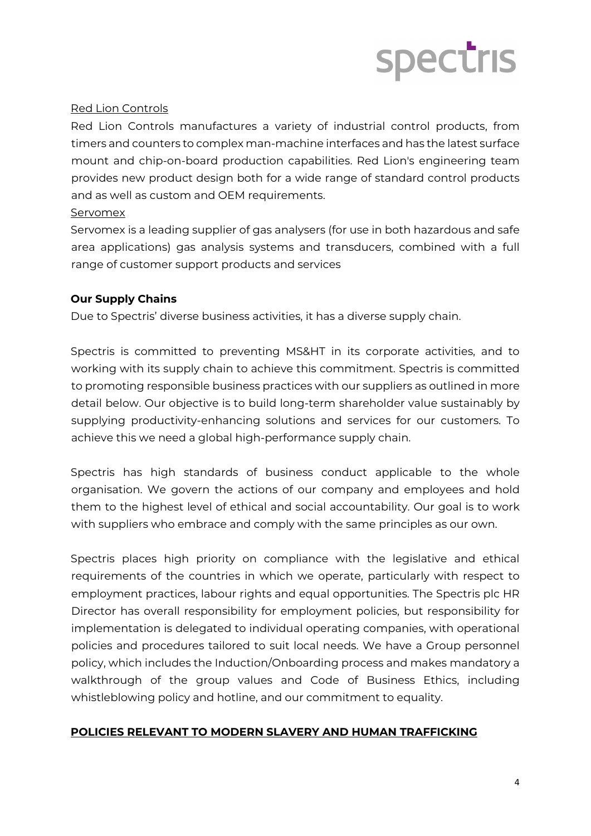# spectris

### Red Lion Controls

Red Lion Controls manufactures a variety of industrial control products, from timers and counters to complex man-machine interfaces and has the latest surface mount and chip-on-board production capabilities. Red Lion's engineering team provides new product design both for a wide range of standard control products and as well as custom and OEM requirements.

### Servomex

Servomex is a leading supplier of gas analysers (for use in both hazardous and safe area applications) gas analysis systems and transducers, combined with a full range of customer support products and services

## **Our Supply Chains**

Due to Spectris' diverse business activities, it has a diverse supply chain.

Spectris is committed to preventing MS&HT in its corporate activities, and to working with its supply chain to achieve this commitment. Spectris is committed to promoting responsible business practices with our suppliers as outlined in more detail below. Our objective is to build long-term shareholder value sustainably by supplying productivity-enhancing solutions and services for our customers. To achieve this we need a global high-performance supply chain.

Spectris has high standards of business conduct applicable to the whole organisation. We govern the actions of our company and employees and hold them to the highest level of ethical and social accountability. Our goal is to work with suppliers who embrace and comply with the same principles as our own.

Spectris places high priority on compliance with the legislative and ethical requirements of the countries in which we operate, particularly with respect to employment practices, labour rights and equal opportunities. The Spectris plc HR Director has overall responsibility for employment policies, but responsibility for implementation is delegated to individual operating companies, with operational policies and procedures tailored to suit local needs. We have a Group personnel policy, which includes the Induction/Onboarding process and makes mandatory a walkthrough of the group values and Code of Business Ethics, including whistleblowing policy and hotline, and our commitment to equality.

## **POLICIES RELEVANT TO MODERN SLAVERY AND HUMAN TRAFFICKING**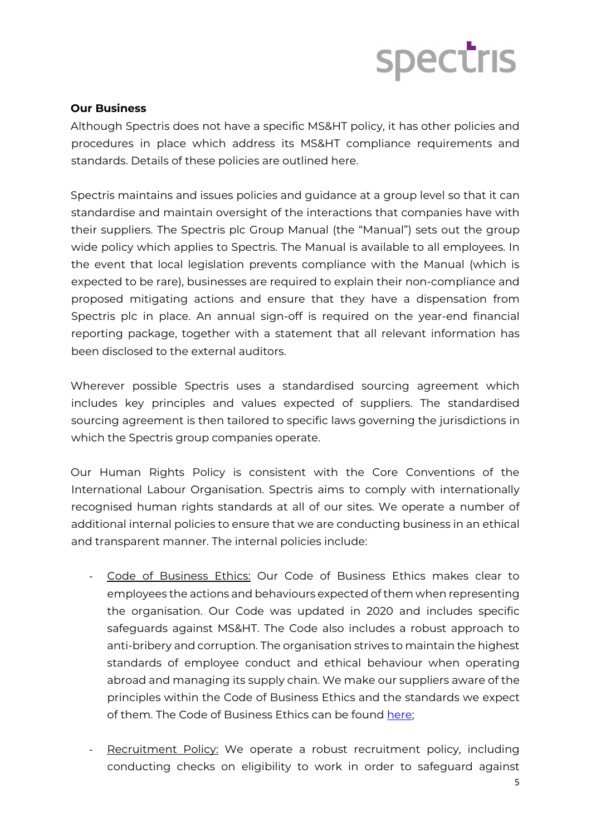## spectris

### **Our Business**

Although Spectris does not have a specific MS&HT policy, it has other policies and procedures in place which address its MS&HT compliance requirements and standards. Details of these policies are outlined here.

Spectris maintains and issues policies and guidance at a group level so that it can standardise and maintain oversight of the interactions that companies have with their suppliers. The Spectris plc Group Manual (the "Manual") sets out the group wide policy which applies to Spectris. The Manual is available to all employees. In the event that local legislation prevents compliance with the Manual (which is expected to be rare), businesses are required to explain their non-compliance and proposed mitigating actions and ensure that they have a dispensation from Spectris plc in place. An annual sign-off is required on the year-end financial reporting package, together with a statement that all relevant information has been disclosed to the external auditors.

Wherever possible Spectris uses a standardised sourcing agreement which includes key principles and values expected of suppliers. The standardised sourcing agreement is then tailored to specific laws governing the jurisdictions in which the Spectris group companies operate.

Our Human Rights Policy is consistent with the Core Conventions of the International Labour Organisation. Spectris aims to comply with internationally recognised human rights standards at all of our sites. We operate a number of additional internal policies to ensure that we are conducting business in an ethical and transparent manner. The internal policies include:

- Code of Business Ethics: Our Code of Business Ethics makes clear to employees the actions and behaviours expected of them when representing the organisation. Our Code was updated in 2020 and includes specific safeguards against MS&HT. The Code also includes a robust approach to anti-bribery and corruption. The organisation strives to maintain the highest standards of employee conduct and ethical behaviour when operating abroad and managing its supply chain. We make our suppliers aware of the principles within the Code of Business Ethics and the standards we expect of them. The Code of Business Ethics can be found [here;](https://www.spectris.com/sustainability/ethics-and-culture)
- Recruitment Policy: We operate a robust recruitment policy, including conducting checks on eligibility to work in order to safeguard against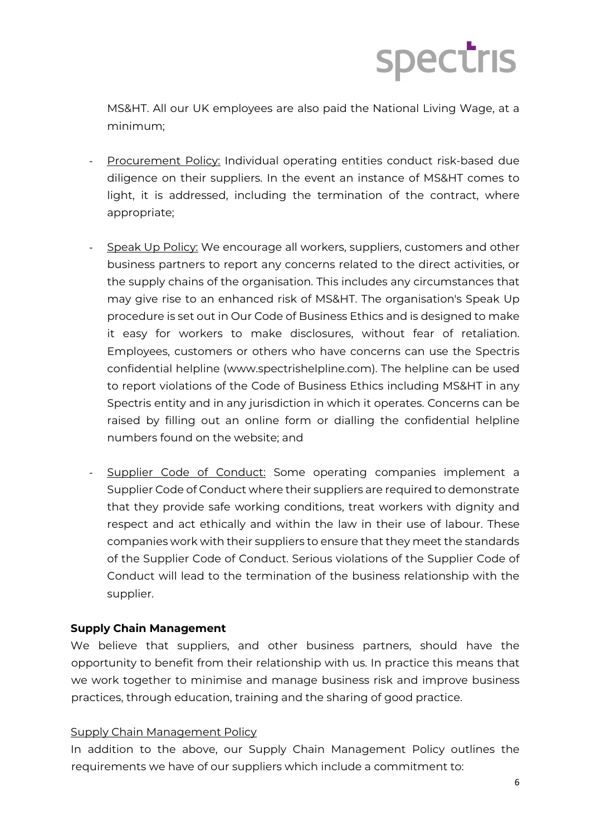

MS&HT. All our UK employees are also paid the National Living Wage, at a minimum;

- Procurement Policy: Individual operating entities conduct risk-based due diligence on their suppliers. In the event an instance of MS&HT comes to light, it is addressed, including the termination of the contract, where appropriate;
- Speak Up Policy: We encourage all workers, suppliers, customers and other business partners to report any concerns related to the direct activities, or the supply chains of the organisation. This includes any circumstances that may give rise to an enhanced risk of MS&HT. The organisation's Speak Up procedure is set out in Our Code of Business Ethics and is designed to make it easy for workers to make disclosures, without fear of retaliation. Employees, customers or others who have concerns can use the Spectris confidential helpline (www.spectrishelpline.com). The helpline can be used to report violations of the Code of Business Ethics including MS&HT in any Spectris entity and in any jurisdiction in which it operates. Concerns can be raised by filling out an online form or dialling the confidential helpline numbers found on the website; and
- Supplier Code of Conduct: Some operating companies implement a Supplier Code of Conduct where their suppliers are required to demonstrate that they provide safe working conditions, treat workers with dignity and respect and act ethically and within the law in their use of labour. These companies work with their suppliers to ensure that they meet the standards of the Supplier Code of Conduct. Serious violations of the Supplier Code of Conduct will lead to the termination of the business relationship with the supplier.

### **Supply Chain Management**

We believe that suppliers, and other business partners, should have the opportunity to benefit from their relationship with us. In practice this means that we work together to minimise and manage business risk and improve business practices, through education, training and the sharing of good practice.

#### Supply Chain Management Policy

In addition to the above, our Supply Chain Management Policy outlines the requirements we have of our suppliers which include a commitment to: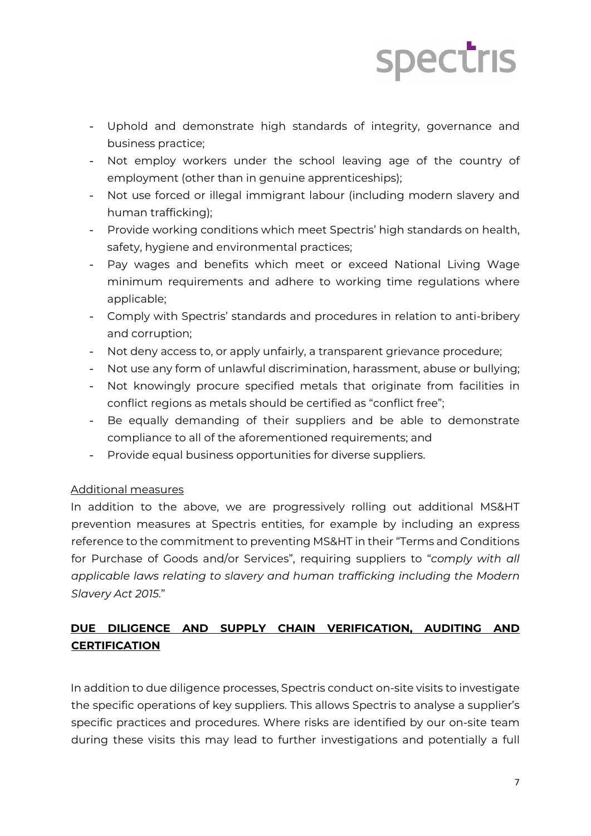## **Spectris**

- Uphold and demonstrate high standards of integrity, governance and business practice;
- Not employ workers under the school leaving age of the country of employment (other than in genuine apprenticeships);
- Not use forced or illegal immigrant labour (including modern slavery and human trafficking);
- Provide working conditions which meet Spectris' high standards on health, safety, hygiene and environmental practices;
- Pay wages and benefits which meet or exceed National Living Wage minimum requirements and adhere to working time regulations where applicable;
- Comply with Spectris' standards and procedures in relation to anti-bribery and corruption;
- Not deny access to, or apply unfairly, a transparent grievance procedure;
- Not use any form of unlawful discrimination, harassment, abuse or bullying;
- Not knowingly procure specified metals that originate from facilities in conflict regions as metals should be certified as "conflict free";
- Be equally demanding of their suppliers and be able to demonstrate compliance to all of the aforementioned requirements; and
- Provide equal business opportunities for diverse suppliers.

## Additional measures

In addition to the above, we are progressively rolling out additional MS&HT prevention measures at Spectris entities, for example by including an express reference to the commitment to preventing MS&HT in their "Terms and Conditions for Purchase of Goods and/or Services", requiring suppliers to "*comply with all applicable laws relating to slavery and human trafficking including the Modern Slavery Act 2015*."

## **DUE DILIGENCE AND SUPPLY CHAIN VERIFICATION, AUDITING AND CERTIFICATION**

In addition to due diligence processes, Spectris conduct on-site visits to investigate the specific operations of key suppliers. This allows Spectris to analyse a supplier's specific practices and procedures. Where risks are identified by our on-site team during these visits this may lead to further investigations and potentially a full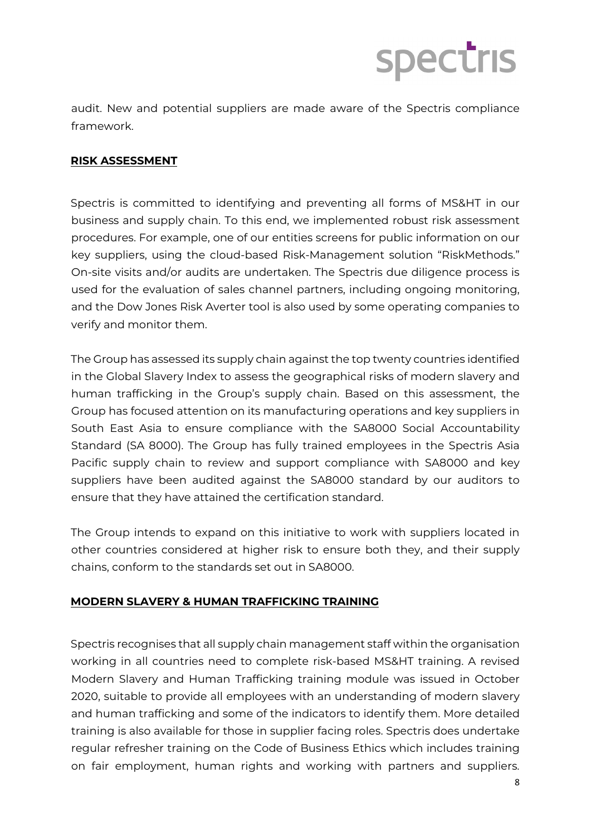

audit. New and potential suppliers are made aware of the Spectris compliance framework.

### **RISK ASSESSMENT**

Spectris is committed to identifying and preventing all forms of MS&HT in our business and supply chain. To this end, we implemented robust risk assessment procedures. For example, one of our entities screens for public information on our key suppliers, using the cloud-based Risk-Management solution "RiskMethods." On-site visits and/or audits are undertaken. The Spectris due diligence process is used for the evaluation of sales channel partners, including ongoing monitoring, and the Dow Jones Risk Averter tool is also used by some operating companies to verify and monitor them.

The Group has assessed its supply chain against the top twenty countries identified in the Global Slavery Index to assess the geographical risks of modern slavery and human trafficking in the Group's supply chain. Based on this assessment, the Group has focused attention on its manufacturing operations and key suppliers in South East Asia to ensure compliance with the SA8000 Social Accountability Standard (SA 8000). The Group has fully trained employees in the Spectris Asia Pacific supply chain to review and support compliance with SA8000 and key suppliers have been audited against the SA8000 standard by our auditors to ensure that they have attained the certification standard.

The Group intends to expand on this initiative to work with suppliers located in other countries considered at higher risk to ensure both they, and their supply chains, conform to the standards set out in SA8000.

### **MODERN SLAVERY & HUMAN TRAFFICKING TRAINING**

Spectris recognises that all supply chain management staff within the organisation working in all countries need to complete risk-based MS&HT training. A revised Modern Slavery and Human Trafficking training module was issued in October 2020, suitable to provide all employees with an understanding of modern slavery and human trafficking and some of the indicators to identify them. More detailed training is also available for those in supplier facing roles. Spectris does undertake regular refresher training on the Code of Business Ethics which includes training on fair employment, human rights and working with partners and suppliers.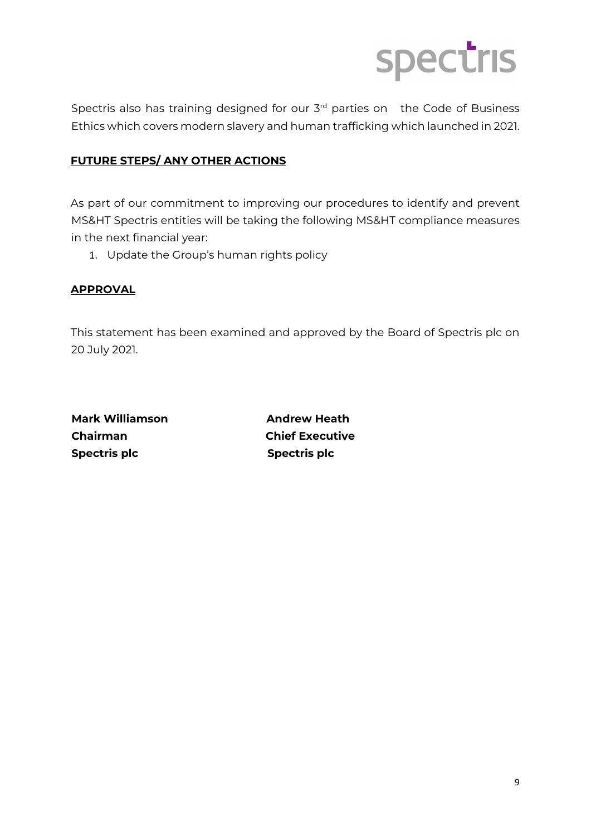

Spectris also has training designed for our 3<sup>rd</sup> parties on the Code of Business Ethics which covers modern slavery and human trafficking which launched in 2021.

## **FUTURE STEPS/ ANY OTHER ACTIONS**

As part of our commitment to improving our procedures to identify and prevent MS&HT Spectris entities will be taking the following MS&HT compliance measures in the next financial year:

1. Update the Group's human rights policy

### **APPROVAL**

This statement has been examined and approved by the Board of Spectris plc on 20 July 2021.

**Mark Williamson Andrew Heath Chairman Chief Executive Spectris plc** Spectris plc